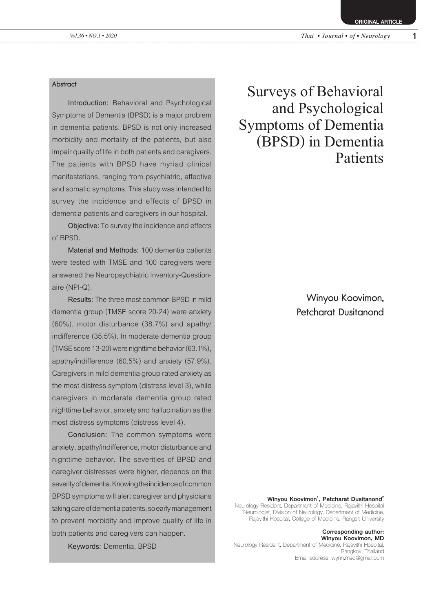**ORIGINAL ARTICLE** 

#### **Abstract**

**Introduction:** Behavioral and Psychological Symptoms of Dementia (BPSD) is a major problem in dementia patients. BPSD is not only increased morbidity and mortality of the patients, but also impair quality of life in both patients and caregivers. The patients with BPSD have myriad clinical manifestations, ranging from psychiatric, affective and somatic symptoms. This study was intended to survey the incidence and effects of BPSD in dementia patients and caregivers in our hospital.

**Objective:** To survey the incidence and effects of BPSD.

**Material and Methods:** 100 dementia patients were tested with TMSE and 100 caregivers were answered the Neuropsychiatric Inventory-Questionaire (NPI-Q).

**Results:** The three most common BPSD in mild dementia group (TMSE score 20-24) were anxiety (60%), motor disturbance (38.7%) and apathy/ indifference (35.5%). In moderate dementia group (TMSE score 13-20) were nighttime behavior (63.1%), apathy/indifference (60.5%) and anxiety (57.9%). Caregivers in mild dementia group rated anxiety as the most distress symptom (distress level 3), while caregivers in moderate dementia group rated nighttime behavior, anxiety and hallucination as the most distress symptoms (distress level 4).

**Conclusion:** The common symptoms were anxiety, apathy/indifference, motor disturbance and nighttime behavior. The severities of BPSD and caregiver distresses were higher, depends on the severity of dementia. Knowing the incidence of common BPSD symptoms will alert caregiver and physicians taking care of dementia patients, so early management to prevent morbidity and improve quality of life in both patients and caregivers can happen.

**Keywords:** Dementia, BPSD

Surveys of Behavioral and Psychological Symptoms of Dementia (BPSD) in Dementia Patients

> Winyou Koovimon, Petcharat Dusitanond

Winyou Koovimon<sup>1</sup>, Petcharat Dusitanond<sup>2</sup>

1 Neurology Resident, Department of Medicine, Rajavithi Hospital <sup>2</sup>  $^2$ Neurologist, Division of Neurology, Department of Medicine, Rajavithi Hospital, College of Medicine, Rangsit University

> Corresponding author: Winyou Koovimon, MD

Neurology Resident, Department of Medicine, Rajavithi Hospital, Bangkok, Thailand Email address: wynn.med@gmail.com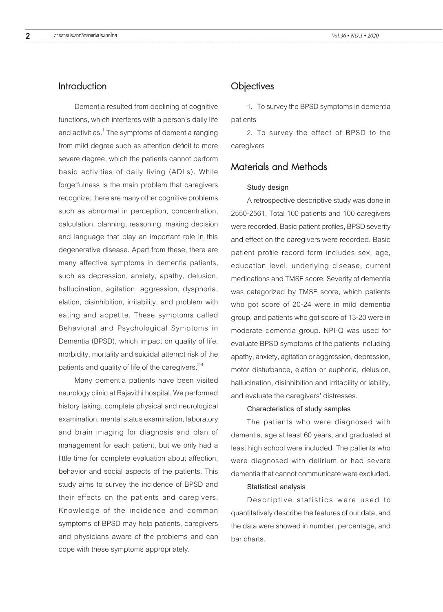## Introduction

Dementia resulted from declining of cognitive functions, which interferes with a person's daily life and activities. $^{\rm 1}$  The symptoms of dementia ranging from mild degree such as attention deficit to more severe degree, which the patients cannot perform basic activities of daily living (ADLs). While forgetfulness is the main problem that caregivers recognize, there are many other cognitive problems such as abnormal in perception, concentration, calculation, planning, reasoning, making decision and language that play an important role in this degenerative disease. Apart from these, there are many affective symptoms in dementia patients, such as depression, anxiety, apathy, delusion, hallucination, agitation, aggression, dysphoria, elation, disinhibition, irritability, and problem with eating and appetite. These symptoms called Behavioral and Psychological Symptoms in Dementia (BPSD), which impact on quality of life, morbidity, mortality and suicidal attempt risk of the patients and quality of life of the caregivers. $2-4$ 

Many dementia patients have been visited neurology clinic at Rajavithi hospital. We performed history taking, complete physical and neurological examination, mental status examination, laboratory and brain imaging for diagnosis and plan of management for each patient, but we only had a little time for complete evaluation about affection, behavior and social aspects of the patients. This study aims to survey the incidence of BPSD and their effects on the patients and caregivers. Knowledge of the incidence and common symptoms of BPSD may help patients, caregivers and physicians aware of the problems and can cope with these symptoms appropriately.

### **Objectives**

1. To survey the BPSD symptoms in dementia patients

2. To survey the effect of BPSD to the caregivers

# Materials and Methods

#### **Study design**

A retrospective descriptive study was done in 2550-2561. Total 100 patients and 100 caregivers were recorded. Basic patient profiles, BPSD severity and effect on the caregivers were recorded. Basic patient profile record form includes sex, age, education level, underlying disease, current medications and TMSE score. Severity of dementia was categorized by TMSE score, which patients who got score of 20-24 were in mild dementia group, and patients who got score of 13-20 were in moderate dementia group. NPI-Q was used for evaluate BPSD symptoms of the patients including apathy, anxiety, agitation or aggression, depression, motor disturbance, elation or euphoria, delusion, hallucination, disinhibition and irritability or lability, and evaluate the caregivers' distresses.

#### **Characteristics of study samples**

The patients who were diagnosed with dementia, age at least 60 years, and graduated at least high school were included. The patients who were diagnosed with delirium or had severe dementia that cannot communicate were excluded.

#### **Statistical analysis**

Descriptive statistics were used to quantitatively describe the features of our data, and the data were showed in number, percentage, and bar charts.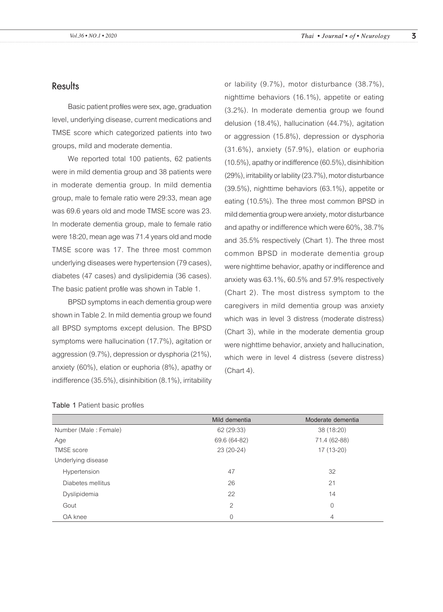## **Results**

Basic patient profiles were sex, age, graduation level, underlying disease, current medications and TMSE score which categorized patients into two groups, mild and moderate dementia.

We reported total 100 patients, 62 patients were in mild dementia group and 38 patients were in moderate dementia group. In mild dementia group, male to female ratio were 29:33, mean age was 69.6 years old and mode TMSE score was 23. In moderate dementia group, male to female ratio were 18:20, mean age was 71.4 years old and mode TMSE score was 17. The three most common underlying diseases were hypertension (79 cases), diabetes (47 cases) and dyslipidemia (36 cases). The basic patient profile was shown in Table 1.

BPSD symptoms in each dementia group were shown in Table 2. In mild dementia group we found all BPSD symptoms except delusion. The BPSD symptoms were hallucination (17.7%), agitation or aggression (9.7%), depression or dysphoria (21%), anxiety (60%), elation or euphoria (8%), apathy or indifference (35.5%), disinhibition (8.1%), irritability

or lability (9.7%), motor disturbance (38.7%), nighttime behaviors (16.1%), appetite or eating (3.2%). In moderate dementia group we found delusion (18.4%), hallucination (44.7%), agitation or aggression (15.8%), depression or dysphoria (31.6%), anxiety (57.9%), elation or euphoria (10.5%), apathy or indifference (60.5%), disinhibition (29%), irritability or lability (23.7%), motor disturbance (39.5%), nighttime behaviors (63.1%), appetite or eating (10.5%). The three most common BPSD in mild dementia group were anxiety, motor disturbance and apathy or indifference which were 60%, 38.7% and 35.5% respectively (Chart 1). The three most common BPSD in moderate dementia group were nighttime behavior, apathy or indifference and anxiety was 63.1%, 60.5% and 57.9% respectively (Chart 2). The most distress symptom to the caregivers in mild dementia group was anxiety which was in level 3 distress (moderate distress) (Chart 3), while in the moderate dementia group were nighttime behavior, anxiety and hallucination, which were in level 4 distress (severe distress) (Chart 4).

|                       | Mild dementia  | Moderate dementia |
|-----------------------|----------------|-------------------|
| Number (Male: Female) | 62 (29:33)     | 38 (18:20)        |
| Age                   | 69.6 (64-82)   | 71.4 (62-88)      |
| <b>TMSE</b> score     | 23 (20-24)     | $17(13-20)$       |
| Underlying disease    |                |                   |
| Hypertension          | 47             | 32                |
| Diabetes mellitus     | 26             | 21                |
| Dyslipidemia          | 22             | 14                |
| Gout                  | $\mathfrak{D}$ | $\Omega$          |
| OA knee               | $\overline{0}$ | 4                 |

#### **Table 1** Patient basic profiles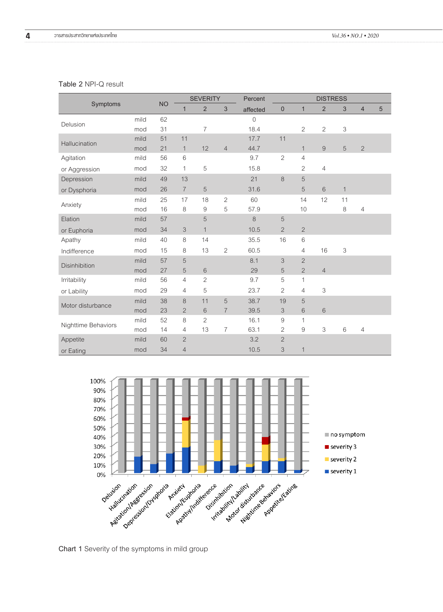#### **Table 2** NPI-Q result

|                      |      |           | <b>SEVERITY</b>           |                | Percent        | <b>DISTRESS</b>     |                           |                |                |                           |                |                |
|----------------------|------|-----------|---------------------------|----------------|----------------|---------------------|---------------------------|----------------|----------------|---------------------------|----------------|----------------|
| Symptoms             |      | <b>NO</b> | $\mathbf{1}$              | $\overline{2}$ | $\mathfrak{B}$ | affected            | $\boldsymbol{0}$          | $\mathbf{1}$   | $\overline{2}$ | 3                         | $\overline{4}$ | $\overline{5}$ |
| Delusion             | mild | 62        |                           |                |                | $\mathsf{O}\xspace$ |                           |                |                |                           |                |                |
|                      | mod  | 31        |                           | $\overline{7}$ |                | 18.4                |                           | $\overline{2}$ | $\overline{2}$ | 3                         |                |                |
| Hallucination        | mild | 51        | 11                        |                |                | 17.7                | 11                        |                |                |                           |                |                |
|                      | mod  | 21        | $\mathbf{1}$              | 12             | $\overline{4}$ | 44.7                |                           | $\mathbf{1}$   | 9              | 5                         | $\overline{c}$ |                |
| Agitation            | mild | 56        | $\,6$                     |                |                | 9.7                 | $\overline{c}$            | $\overline{4}$ |                |                           |                |                |
| or Aggression        | mod  | 32        | 1                         | 5              |                | 15.8                |                           | $\overline{c}$ | $\overline{4}$ |                           |                |                |
| Depression           | mild | 49        | 13                        |                |                | 21                  | $8\,$                     | 5              |                |                           |                |                |
| or Dysphoria         | mod  | 26        | $\overline{7}$            | 5              |                | 31.6                |                           | 5              | $\,$ 6 $\,$    | $\mathbf{1}$              |                |                |
| Anxiety              | mild | 25        | 17                        | 18             | $\overline{2}$ | 60                  |                           | 14             | 12             | 11                        |                |                |
|                      | mod  | 16        | 8                         | 9              | 5              | 57.9                |                           | 10             |                | 8                         | $\overline{4}$ |                |
| Elation              | mild | 57        |                           | 5              |                | 8                   | 5                         |                |                |                           |                |                |
| or Euphoria          | mod  | 34        | $\ensuremath{\mathsf{3}}$ | $\mathbf{1}$   |                | 10.5                | $\overline{2}$            | $\overline{2}$ |                |                           |                |                |
| Apathy               | mild | 40        | 8                         | 14             |                | 35.5                | 16                        | $\,$ 6 $\,$    |                |                           |                |                |
| Indifference         | mod  | 15        | 8                         | 13             | $\overline{c}$ | 60.5                |                           | $\overline{4}$ | 16             | $\ensuremath{\mathsf{3}}$ |                |                |
| <b>Disinhibition</b> | mild | 57        | 5                         |                |                | 8.1                 | 3                         | $\overline{2}$ |                |                           |                |                |
|                      | mod  | 27        | 5                         | $\,$ 6 $\,$    |                | 29                  | 5                         | $\overline{2}$ | $\overline{4}$ |                           |                |                |
| Irritability         | mild | 56        | $\overline{4}$            | $\overline{2}$ |                | 9.7                 | 5                         | $\mathbf{1}$   |                |                           |                |                |
| or Lability          | mod  | 29        | $\overline{4}$            | 5              |                | 23.7                | $\overline{c}$            | $\overline{4}$ | 3              |                           |                |                |
| Motor disturbance    | mild | 38        | $\,8\,$                   | 11             | 5              | 38.7                | 19                        | 5              |                |                           |                |                |
|                      | mod  | 23        | $\sqrt{2}$                | $\,$ 6 $\,$    | $\overline{7}$ | 39.5                | $\ensuremath{\mathsf{3}}$ | $\,6\,$        | $\,$ 6 $\,$    |                           |                |                |
| Nighttime Behaviors  | mild | 52        | 8                         | $\overline{2}$ |                | 16.1                | $\mathcal{G}% _{0}$       | $\mathbf{1}$   |                |                           |                |                |
|                      | mod  | 14        | 4                         | 13             | $\overline{I}$ | 63.1                | $\overline{2}$            | 9              | 3              | 6                         | $\overline{4}$ |                |
| Appetite             | mild | 60        | $\sqrt{2}$                |                |                | 3.2                 | $\overline{c}$            |                |                |                           |                |                |
| or Eating            | mod  | 34        | $\overline{4}$            |                |                | 10.5                | $\mathfrak{Z}$            | $\mathbf{1}$   |                |                           |                |                |



**Chart 1** Severity of the symptoms in mild group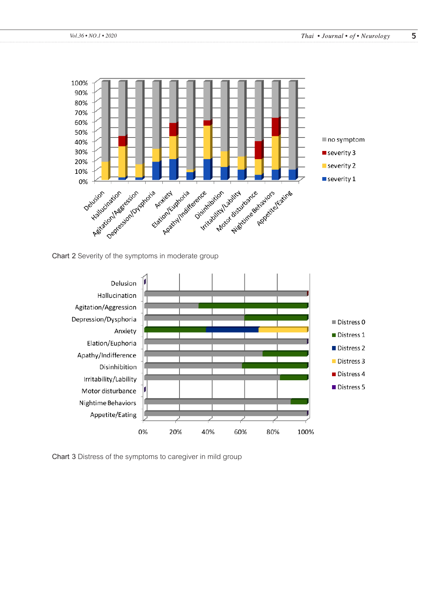

**Chart 2** Severity of the symptoms in moderate group



**Chart 3** Distress of the symptoms to caregiver in mild group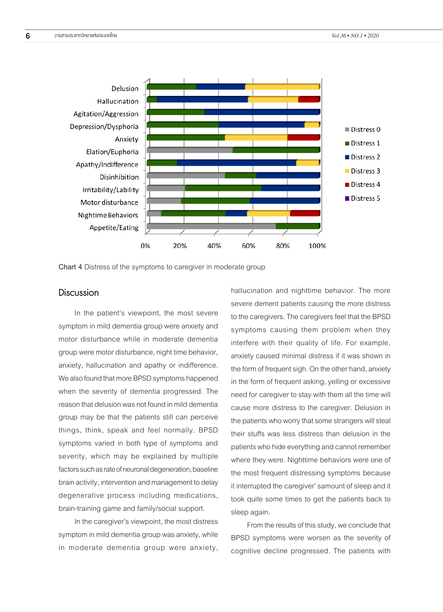

**Chart 4** Distress of the symptoms to caregiver in moderate group

# **Discussion**

In the patient's viewpoint, the most severe symptom in mild dementia group were anxiety and motor disturbance while in moderate dementia group were motor disturbance, night time behavior, anxiety, hallucination and apathy or indifference. We also found that more BPSD symptoms happened when the severity of dementia progressed. The reason that delusion was not found in mild dementia group may be that the patients still can perceive things, think, speak and feel normally. BPSD symptoms varied in both type of symptoms and severity, which may be explained by multiple factors such as rate of neuronal degeneration, baseline brain activity, intervention and management to delay degenerative process including medications, brain-training game and family/social support.

In the caregiver's viewpoint, the most distress symptom in mild dementia group was anxiety, while in moderate dementia group were anxiety,

hallucination and nighttime behavior. The more severe dement patients causing the more distress to the caregivers. The caregivers feel that the BPSD symptoms causing them problem when they interfere with their quality of life. For example, anxiety caused minimal distress if it was shown in the form of frequent sigh. On the other hand, anxiety in the form of frequent asking, yelling or excessive need for caregiver to stay with them all the time will cause more distress to the caregiver. Delusion in the patients who worry that some strangers will steal their stuffs was less distress than delusion in the patients who hide everything and cannot remember where they were. Nighttime behaviors were one of the most frequent distressing symptoms because it interrupted the caregiver' samount of sleep and it took quite some times to get the patients back to sleep again.

From the results of this study, we conclude that BPSD symptoms were worsen as the severity of cognitive decline progressed. The patients with